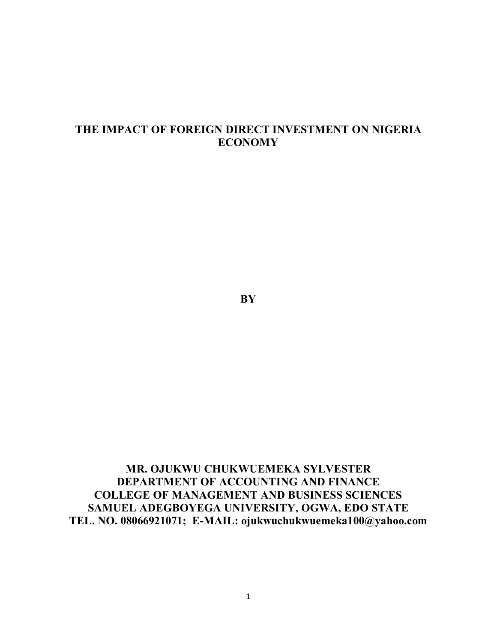# **THE IMPACT OF FOREIGN DIRECT INVESTMENT ON NIGERIA ECONOMY**

**BY**

**MR. OJUKWU CHUKWUEMEKA SYLVESTER DEPARTMENT OF ACCOUNTING AND FINANCE COLLEGE OF MANAGEMENT AND BUSINESS SCIENCES SAMUEL ADEGBOYEGA UNIVERSITY, OGWA, EDO STATE TEL. NO. 08066921071; E-MAIL: ojukwuchukwuemeka100@yahoo.com**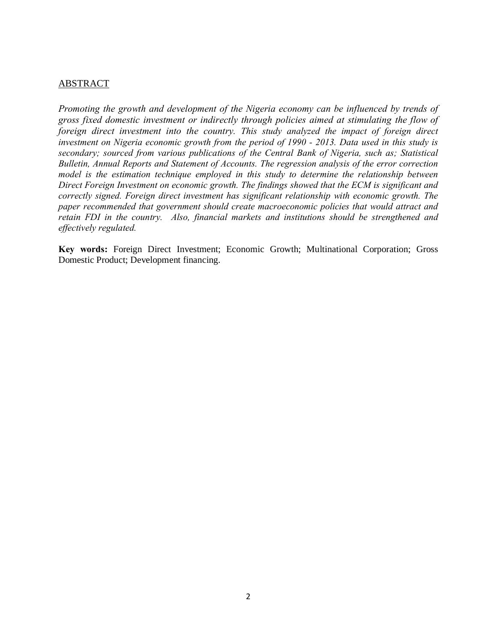## ABSTRACT

*Promoting the growth and development of the Nigeria economy can be influenced by trends of gross fixed domestic investment or indirectly through policies aimed at stimulating the flow of foreign direct investment into the country. This study analyzed the impact of foreign direct investment on Nigeria economic growth from the period of 1990 - 2013. Data used in this study is secondary; sourced from various publications of the Central Bank of Nigeria, such as; Statistical Bulletin, Annual Reports and Statement of Accounts. The regression analysis of the error correction model is the estimation technique employed in this study to determine the relationship between Direct Foreign Investment on economic growth. The findings showed that the ECM is significant and correctly signed. Foreign direct investment has significant relationship with economic growth. The paper recommended that government should create macroeconomic policies that would attract and retain FDI in the country. Also, financial markets and institutions should be strengthened and effectively regulated.*

**Key words:** Foreign Direct Investment; Economic Growth; Multinational Corporation; Gross Domestic Product; Development financing.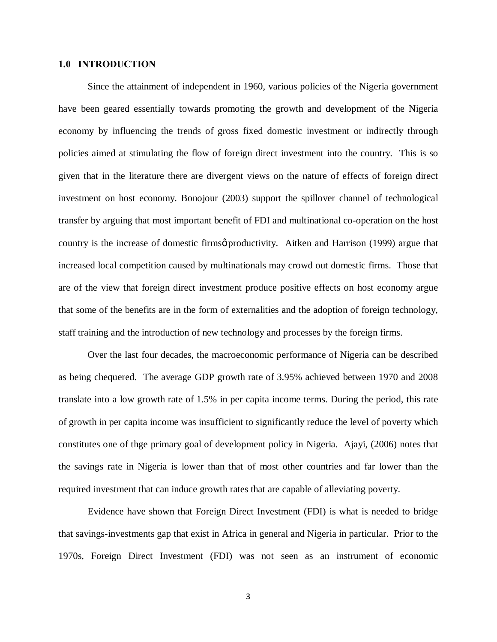### **1.0 INTRODUCTION**

Since the attainment of independent in 1960, various policies of the Nigeria government have been geared essentially towards promoting the growth and development of the Nigeria economy by influencing the trends of gross fixed domestic investment or indirectly through policies aimed at stimulating the flow of foreign direct investment into the country. This is so given that in the literature there are divergent views on the nature of effects of foreign direct investment on host economy. Bonojour (2003) support the spillover channel of technological transfer by arguing that most important benefit of FDI and multinational co-operation on the host country is the increase of domestic firms productivity. Aitken and Harrison (1999) argue that increased local competition caused by multinationals may crowd out domestic firms. Those that are of the view that foreign direct investment produce positive effects on host economy argue that some of the benefits are in the form of externalities and the adoption of foreign technology, staff training and the introduction of new technology and processes by the foreign firms.

Over the last four decades, the macroeconomic performance of Nigeria can be described as being chequered. The average GDP growth rate of 3.95% achieved between 1970 and 2008 translate into a low growth rate of 1.5% in per capita income terms. During the period, this rate of growth in per capita income was insufficient to significantly reduce the level of poverty which constitutes one of thge primary goal of development policy in Nigeria. Ajayi, (2006) notes that the savings rate in Nigeria is lower than that of most other countries and far lower than the required investment that can induce growth rates that are capable of alleviating poverty.

Evidence have shown that Foreign Direct Investment (FDI) is what is needed to bridge that savings-investments gap that exist in Africa in general and Nigeria in particular. Prior to the 1970s, Foreign Direct Investment (FDI) was not seen as an instrument of economic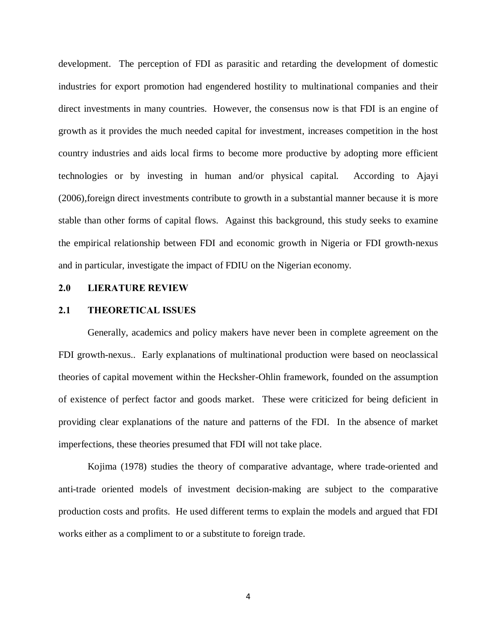development. The perception of FDI as parasitic and retarding the development of domestic industries for export promotion had engendered hostility to multinational companies and their direct investments in many countries. However, the consensus now is that FDI is an engine of growth as it provides the much needed capital for investment, increases competition in the host country industries and aids local firms to become more productive by adopting more efficient technologies or by investing in human and/or physical capital. According to Ajayi (2006),foreign direct investments contribute to growth in a substantial manner because it is more stable than other forms of capital flows. Against this background, this study seeks to examine the empirical relationship between FDI and economic growth in Nigeria or FDI growth-nexus and in particular, investigate the impact of FDIU on the Nigerian economy.

#### **2.0 LIERATURE REVIEW**

#### **2.1 THEORETICAL ISSUES**

Generally, academics and policy makers have never been in complete agreement on the FDI growth-nexus.. Early explanations of multinational production were based on neoclassical theories of capital movement within the Hecksher-Ohlin framework, founded on the assumption of existence of perfect factor and goods market. These were criticized for being deficient in providing clear explanations of the nature and patterns of the FDI. In the absence of market imperfections, these theories presumed that FDI will not take place.

Kojima (1978) studies the theory of comparative advantage, where trade-oriented and anti-trade oriented models of investment decision-making are subject to the comparative production costs and profits. He used different terms to explain the models and argued that FDI works either as a compliment to or a substitute to foreign trade.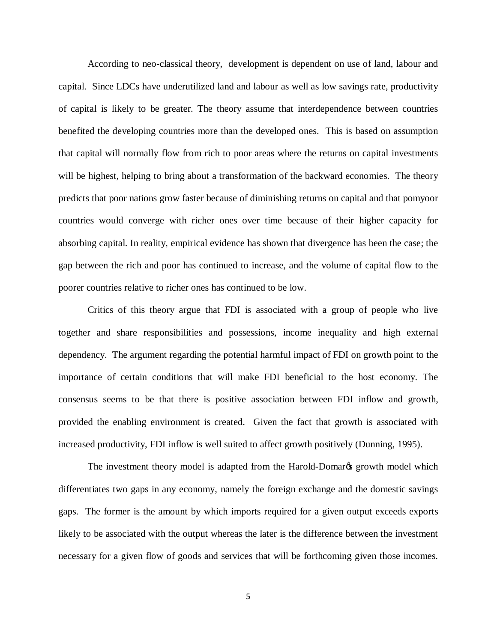According to neo-classical theory, development is dependent on use of land, labour and capital. Since LDCs have underutilized land and labour as well as low savings rate, productivity of capital is likely to be greater. The theory assume that interdependence between countries benefited the developing countries more than the developed ones. This is based on assumption that capital will normally flow from rich to poor areas where the returns on capital investments will be highest, helping to bring about a transformation of the backward economies. The theory predicts that poor nations grow faster because of diminishing returns on capital and that pomyoor countries would converge with richer ones over time because of their higher capacity for absorbing capital. In reality, empirical evidence has shown that divergence has been the case; the gap between the rich and poor has continued to increase, and the volume of capital flow to the poorer countries relative to richer ones has continued to be low.

Critics of this theory argue that FDI is associated with a group of people who live together and share responsibilities and possessions, income inequality and high external dependency. The argument regarding the potential harmful impact of FDI on growth point to the importance of certain conditions that will make FDI beneficial to the host economy. The consensus seems to be that there is positive association between FDI inflow and growth, provided the enabling environment is created. Given the fact that growth is associated with increased productivity, FDI inflow is well suited to affect growth positively (Dunning, 1995).

The investment theory model is adapted from the Harold-Domar<sub>C</sub> growth model which differentiates two gaps in any economy, namely the foreign exchange and the domestic savings gaps. The former is the amount by which imports required for a given output exceeds exports likely to be associated with the output whereas the later is the difference between the investment necessary for a given flow of goods and services that will be forthcoming given those incomes.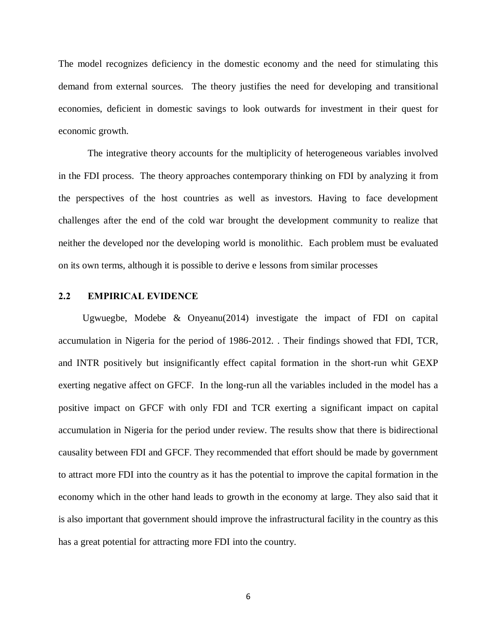The model recognizes deficiency in the domestic economy and the need for stimulating this demand from external sources. The theory justifies the need for developing and transitional economies, deficient in domestic savings to look outwards for investment in their quest for economic growth.

The integrative theory accounts for the multiplicity of heterogeneous variables involved in the FDI process. The theory approaches contemporary thinking on FDI by analyzing it from the perspectives of the host countries as well as investors. Having to face development challenges after the end of the cold war brought the development community to realize that neither the developed nor the developing world is monolithic. Each problem must be evaluated on its own terms, although it is possible to derive e lessons from similar processes

### **2.2 EMPIRICAL EVIDENCE**

 Ugwuegbe, Modebe & Onyeanu(2014) investigate the impact of FDI on capital accumulation in Nigeria for the period of 1986-2012. . Their findings showed that FDI, TCR, and INTR positively but insignificantly effect capital formation in the short-run whit GEXP exerting negative affect on GFCF. In the long-run all the variables included in the model has a positive impact on GFCF with only FDI and TCR exerting a significant impact on capital accumulation in Nigeria for the period under review. The results show that there is bidirectional causality between FDI and GFCF. They recommended that effort should be made by government to attract more FDI into the country as it has the potential to improve the capital formation in the economy which in the other hand leads to growth in the economy at large. They also said that it is also important that government should improve the infrastructural facility in the country as this has a great potential for attracting more FDI into the country.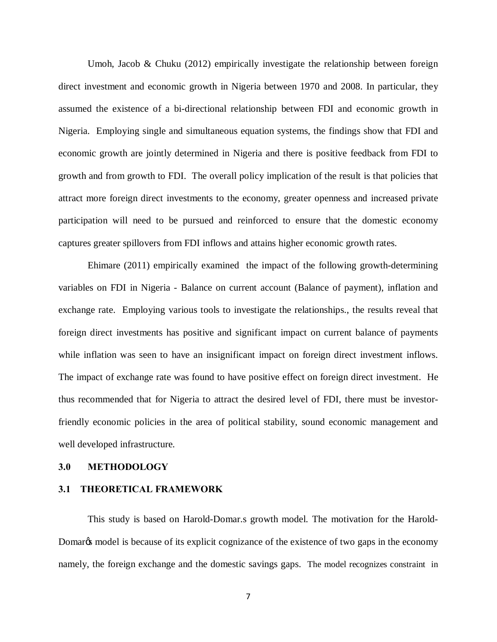Umoh, Jacob  $\&$  Chuku (2012) empirically investigate the relationship between foreign direct investment and economic growth in Nigeria between 1970 and 2008. In particular, they assumed the existence of a bi-directional relationship between FDI and economic growth in Nigeria. Employing single and simultaneous equation systems, the findings show that FDI and economic growth are jointly determined in Nigeria and there is positive feedback from FDI to growth and from growth to FDI. The overall policy implication of the result is that policies that attract more foreign direct investments to the economy, greater openness and increased private participation will need to be pursued and reinforced to ensure that the domestic economy captures greater spillovers from FDI inflows and attains higher economic growth rates.

Ehimare (2011) empirically examined the impact of the following growth-determining variables on FDI in Nigeria - Balance on current account (Balance of payment), inflation and exchange rate. Employing various tools to investigate the relationships., the results reveal that foreign direct investments has positive and significant impact on current balance of payments while inflation was seen to have an insignificant impact on foreign direct investment inflows. The impact of exchange rate was found to have positive effect on foreign direct investment. He thus recommended that for Nigeria to attract the desired level of FDI, there must be investorfriendly economic policies in the area of political stability, sound economic management and well developed infrastructure.

#### **3.0 METHODOLOGY**

#### **3.1 THEORETICAL FRAMEWORK**

This study is based on Harold-Domar.s growth model. The motivation for the Harold-Domargs model is because of its explicit cognizance of the existence of two gaps in the economy namely, the foreign exchange and the domestic savings gaps. The model recognizes constraint in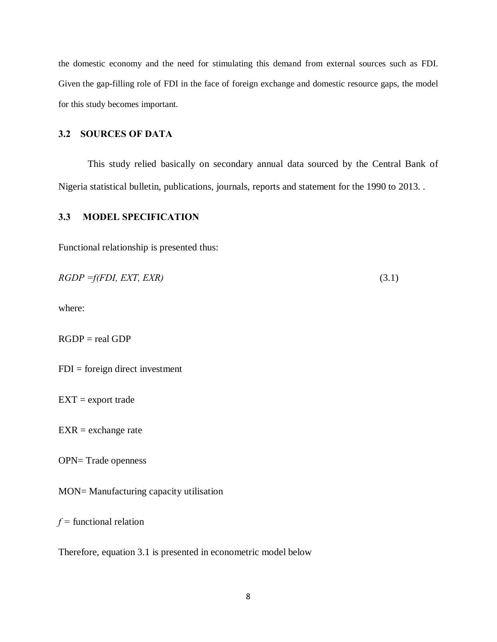the domestic economy and the need for stimulating this demand from external sources such as FDI. Given the gap-filling role of FDI in the face of foreign exchange and domestic resource gaps, the model for this study becomes important.

# **3.2 SOURCES OF DATA**

This study relied basically on secondary annual data sourced by the Central Bank of Nigeria statistical bulletin, publications, journals, reports and statement for the 1990 to 2013. .

### **3.3 MODEL SPECIFICATION**

Functional relationship is presented thus:

| $RGDP = f(FDI, EXT, EXP)$ |  |
|---------------------------|--|
|                           |  |

where:

RGDP = real GDP

 $FDI = foreign direct investment$ 

 $EXT =$  export trade

 $EXR =$  exchange rate

OPN= Trade openness

MON= Manufacturing capacity utilisation

*f =* functional relation

Therefore, equation 3.1 is presented in econometric model below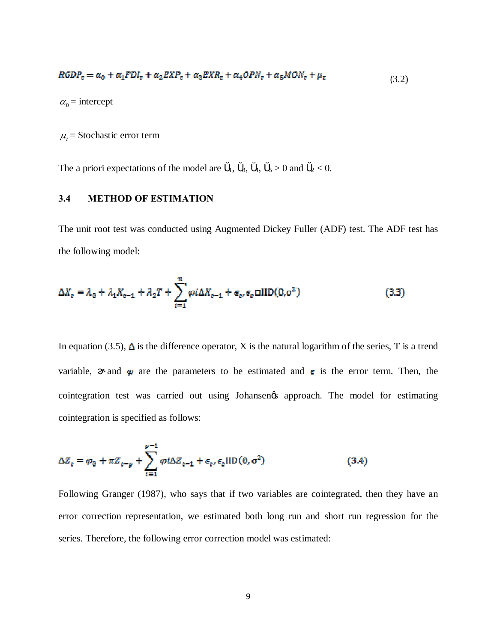$$
RGDPt = \alpha_0 + \alpha_1 FDIt + \alpha_2 EXPt + \alpha_3 EXPt + \alpha_4 OPNt + \alpha_5 MONt + \mu_t
$$
\n(3.2)

 $\alpha_0$  = intercept

 $\mu_t$  = Stochastic error term

The a priori expectations of the model are  $_1$ ,  $_3$ ,  $_4$ ,  $_5 > 0$  and  $_2 < 0$ .

## **3.4 METHOD OF ESTIMATION**

The unit root test was conducted using Augmented Dickey Fuller (ADF) test. The ADF test has the following model:

$$
\Delta X_t = \lambda_0 + \lambda_1 X_{t-1} + \lambda_2 T + \sum_{i=1}^n \varphi i \Delta X_{t-1} + \epsilon_t, \epsilon_t \Box \text{IID}(0, \sigma^2)
$$
\n(3.3)

In equation (3.5),  $\Delta$  is the difference operator, X is the natural logarithm of the series, T is a trend variable, and  $\varphi$  are the parameters to be estimated and  $\epsilon$  is the error term. Then, the cointegration test was carried out using Johansen & approach. The model for estimating cointegration is specified as follows:

$$
\Delta Z_{t} = \varphi_{0} + \pi Z_{t-p} + \sum_{i=1}^{p-1} \varphi i \Delta Z_{t-1} + \epsilon_{t}, \epsilon_{t} \text{IID}(0, \sigma^{2})
$$
\n(3.4)

Following Granger (1987), who says that if two variables are cointegrated, then they have an error correction representation, we estimated both long run and short run regression for the series. Therefore, the following error correction model was estimated: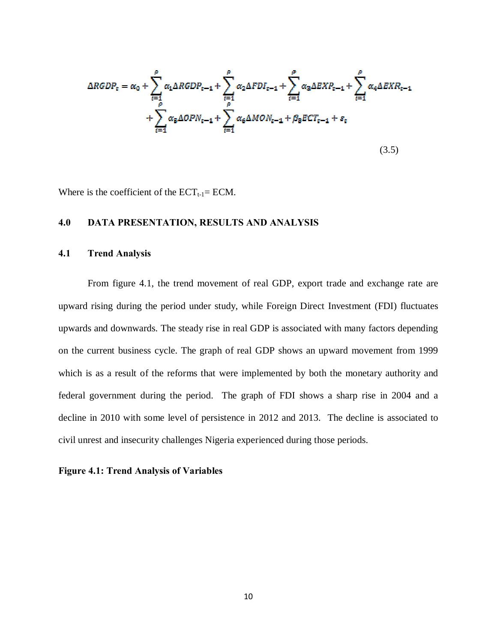$$
\Delta RGBP_{t} = \alpha_{0} + \sum_{i=1}^{\rho} \alpha_{1} \Delta RGBP_{t-1} + \sum_{i=1}^{\rho} \alpha_{2} \Delta FDI_{t-1} + \sum_{i=1}^{\rho} \alpha_{3} \Delta EXP_{t-1} + \sum_{i=1}^{\rho} \alpha_{4} \Delta EXP_{t-1} + \sum_{i=1}^{\rho} \alpha_{5} \Delta OPN_{t-1} + \sum_{i=1}^{\rho} \alpha_{6} \Delta MON_{t-1} + \beta_{8} ECT_{t-1} + \varepsilon_{t}
$$
\n(3.5)

Where is the coefficient of the  $ECT_{t-1}=ECM$ .

# **4.0 DATA PRESENTATION, RESULTS AND ANALYSIS**

### **4.1 Trend Analysis**

From figure 4.1, the trend movement of real GDP, export trade and exchange rate are upward rising during the period under study, while Foreign Direct Investment (FDI) fluctuates upwards and downwards. The steady rise in real GDP is associated with many factors depending on the current business cycle. The graph of real GDP shows an upward movement from 1999 which is as a result of the reforms that were implemented by both the monetary authority and federal government during the period. The graph of FDI shows a sharp rise in 2004 and a decline in 2010 with some level of persistence in 2012 and 2013. The decline is associated to civil unrest and insecurity challenges Nigeria experienced during those periods.

#### **Figure 4.1: Trend Analysis of Variables**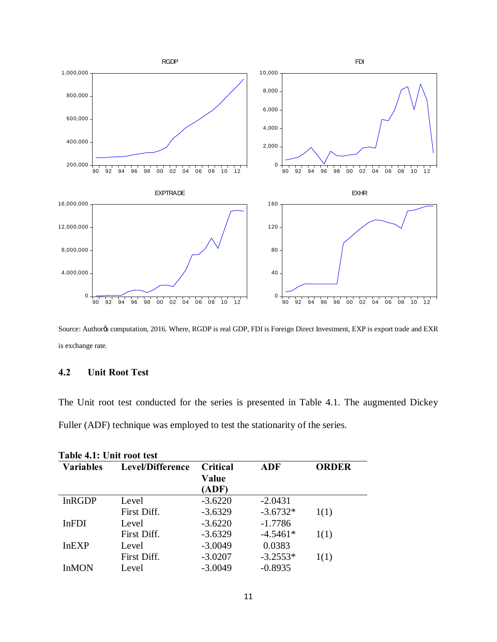

Source: Author¢s computation, 2016. Where, RGDP is real GDP, FDI is Foreign Direct Investment, EXP is export trade and EXR is exchange rate.

# **4.2 Unit Root Test**

The Unit root test conducted for the series is presented in Table 4.1. The augmented Dickey Fuller (ADF) technique was employed to test the stationarity of the series.

| Table 4.1: Unit root test |                  |                 |            |              |  |
|---------------------------|------------------|-----------------|------------|--------------|--|
| <b>Variables</b>          | Level/Difference | <b>Critical</b> | <b>ADF</b> | <b>ORDER</b> |  |
|                           |                  | Value           |            |              |  |
|                           |                  | (ADF)           |            |              |  |
| <b>InRGDP</b>             | Level            | $-3.6220$       | $-2.0431$  |              |  |
|                           | First Diff.      | $-3.6329$       | $-3.6732*$ | 1(1)         |  |
| <b>InFDI</b>              | Level            | $-3.6220$       | $-1.7786$  |              |  |
|                           | First Diff.      | $-3.6329$       | $-4.5461*$ | 1(1)         |  |
| InEXP                     | Level            | $-3.0049$       | 0.0383     |              |  |
|                           | First Diff.      | $-3.0207$       | $-3.2553*$ | 1(1)         |  |
| <b>InMON</b>              | Level            | $-3.0049$       | $-0.8935$  |              |  |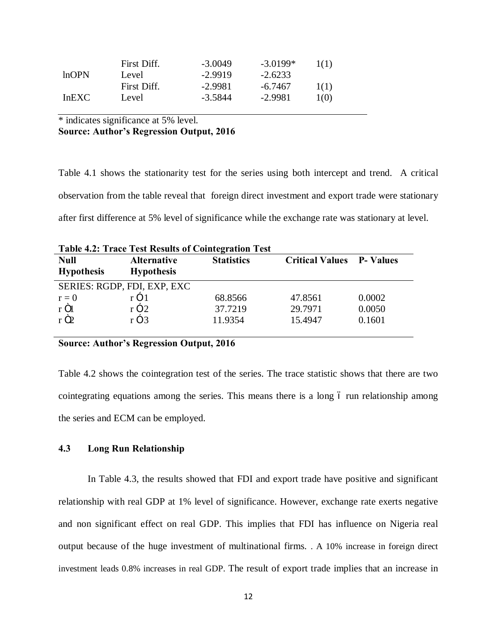|       | First Diff. | $-3.0049$ | $-3.0199*$ | 1(1)             |
|-------|-------------|-----------|------------|------------------|
| lnOPN | Level       | $-2.9919$ | $-2.6233$  |                  |
|       | First Diff. | $-2.9981$ | $-6.7467$  | 1(1)             |
| InEXC | Level       | -3.5844   | -2.9981    | 1 <sub>(0)</sub> |

\* indicates significance at 5% level. **Source: Author's Regression Output, 2016**

Table 4.1 shows the stationarity test for the series using both intercept and trend. A critical observation from the table reveal that foreign direct investment and export trade were stationary after first difference at 5% level of significance while the exchange rate was stationary at level.

| <b>Table 4.2: Trace Test Results of Cointegration Test</b> |                    |                   |                                  |        |  |
|------------------------------------------------------------|--------------------|-------------------|----------------------------------|--------|--|
| <b>Null</b>                                                | <b>Alternative</b> | <b>Statistics</b> | <b>Critical Values</b> P- Values |        |  |
| <b>Hypothesis</b>                                          | <b>Hypothesis</b>  |                   |                                  |        |  |
| SERIES: RGDP, FDI, EXP, EXC                                |                    |                   |                                  |        |  |
| $r = 0$                                                    | $r \times 1$       | 68.8566           | 47.8561                          | 0.0002 |  |
| r Öl                                                       | $r \times 2$       | 37.7219           | 29.7971                          | 0.0050 |  |
| rÖ <sub>2</sub>                                            | $r \times 3$       | 11.9354           | 15.4947                          | 0.1601 |  |

**Source: Author's Regression Output, 2016**

Table 4.2 shows the cointegration test of the series. The trace statistic shows that there are two cointegrating equations among the series. This means there is a long 6 run relationship among the series and ECM can be employed.

# **4.3 Long Run Relationship**

In Table 4.3, the results showed that FDI and export trade have positive and significant relationship with real GDP at 1% level of significance. However, exchange rate exerts negative and non significant effect on real GDP. This implies that FDI has influence on Nigeria real output because of the huge investment of multinational firms. . A 10% increase in foreign direct investment leads 0.8% increases in real GDP. The result of export trade implies that an increase in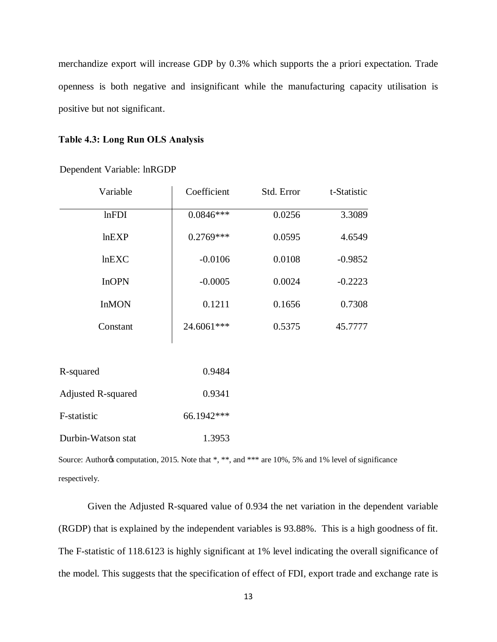merchandize export will increase GDP by 0.3% which supports the a priori expectation. Trade openness is both negative and insignificant while the manufacturing capacity utilisation is positive but not significant.

### **Table 4.3: Long Run OLS Analysis**

| Variable                  | Coefficient | Std. Error | t-Statistic |
|---------------------------|-------------|------------|-------------|
| lnFDI                     | $0.0846***$ | 0.0256     | 3.3089      |
| lnEXP                     | $0.2769***$ | 0.0595     | 4.6549      |
| lnEXC                     | $-0.0106$   | 0.0108     | $-0.9852$   |
| <b>InOPN</b>              | $-0.0005$   | 0.0024     | $-0.2223$   |
| <b>InMON</b>              | 0.1211      | 0.1656     | 0.7308      |
| Constant                  | 24.6061***  | 0.5375     | 45.7777     |
|                           |             |            |             |
| R-squared                 | 0.9484      |            |             |
| <b>Adjusted R-squared</b> | 0.9341      |            |             |
| F-statistic               | 66.1942***  |            |             |
| Durbin-Watson stat        | 1.3953      |            |             |

Dependent Variable: lnRGDP

Source: Authoros computation, 2015. Note that \*, \*\*, and \*\*\* are 10%, 5% and 1% level of significance respectively.

Given the Adjusted R-squared value of 0.934 the net variation in the dependent variable (RGDP) that is explained by the independent variables is 93.88%. This is a high goodness of fit. The F-statistic of 118.6123 is highly significant at 1% level indicating the overall significance of the model. This suggests that the specification of effect of FDI, export trade and exchange rate is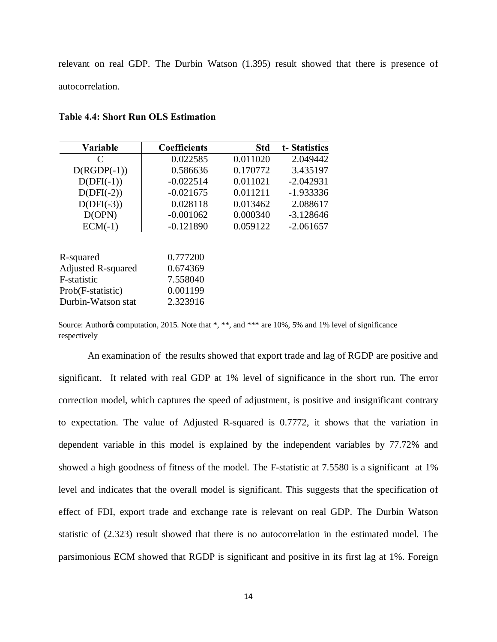relevant on real GDP. The Durbin Watson (1.395) result showed that there is presence of autocorrelation.

| Variable                  | <b>Coefficients</b> | <b>Std</b> | t-Statistics |
|---------------------------|---------------------|------------|--------------|
| C                         | 0.022585            | 0.011020   | 2.049442     |
| $D(RGDP(-1))$             | 0.586636            | 0.170772   | 3.435197     |
| $D(DFI(-1))$              | $-0.022514$         | 0.011021   | $-2.042931$  |
| $D(DFI(-2))$              | $-0.021675$         | 0.011211   | $-1.933336$  |
| $D(DFI(-3))$              | 0.028118            | 0.013462   | 2.088617     |
| D(OPN)                    | $-0.001062$         | 0.000340   | $-3.128646$  |
| $ECM(-1)$                 | $-0.121890$         | 0.059122   | $-2.061657$  |
|                           |                     |            |              |
| R-squared                 | 0.777200            |            |              |
| <b>Adjusted R-squared</b> | 0.674369            |            |              |
| F-statistic               | 7.558040            |            |              |
| Prob(F-statistic)         | 0.001199            |            |              |
| Durbin-Watson stat        | 2.323916            |            |              |

### **Table 4.4: Short Run OLS Estimation**

Source: Authoros computation, 2015. Note that \*, \*\*, and \*\*\* are 10%, 5% and 1% level of significance respectively

An examination of the results showed that export trade and lag of RGDP are positive and significant. It related with real GDP at 1% level of significance in the short run. The error correction model, which captures the speed of adjustment, is positive and insignificant contrary to expectation. The value of Adjusted R-squared is 0.7772, it shows that the variation in dependent variable in this model is explained by the independent variables by 77.72% and showed a high goodness of fitness of the model. The F-statistic at 7.5580 is a significant at 1% level and indicates that the overall model is significant. This suggests that the specification of effect of FDI, export trade and exchange rate is relevant on real GDP. The Durbin Watson statistic of (2.323) result showed that there is no autocorrelation in the estimated model. The parsimonious ECM showed that RGDP is significant and positive in its first lag at 1%. Foreign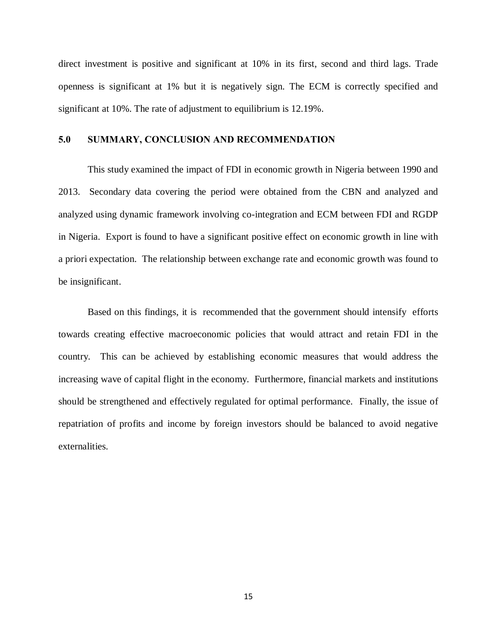direct investment is positive and significant at 10% in its first, second and third lags. Trade openness is significant at 1% but it is negatively sign. The ECM is correctly specified and significant at 10%. The rate of adjustment to equilibrium is 12.19%.

### **5.0 SUMMARY, CONCLUSION AND RECOMMENDATION**

This study examined the impact of FDI in economic growth in Nigeria between 1990 and 2013. Secondary data covering the period were obtained from the CBN and analyzed and analyzed using dynamic framework involving co-integration and ECM between FDI and RGDP in Nigeria. Export is found to have a significant positive effect on economic growth in line with a priori expectation. The relationship between exchange rate and economic growth was found to be insignificant.

Based on this findings, it is recommended that the government should intensify efforts towards creating effective macroeconomic policies that would attract and retain FDI in the country. This can be achieved by establishing economic measures that would address the increasing wave of capital flight in the economy. Furthermore, financial markets and institutions should be strengthened and effectively regulated for optimal performance. Finally, the issue of repatriation of profits and income by foreign investors should be balanced to avoid negative externalities.